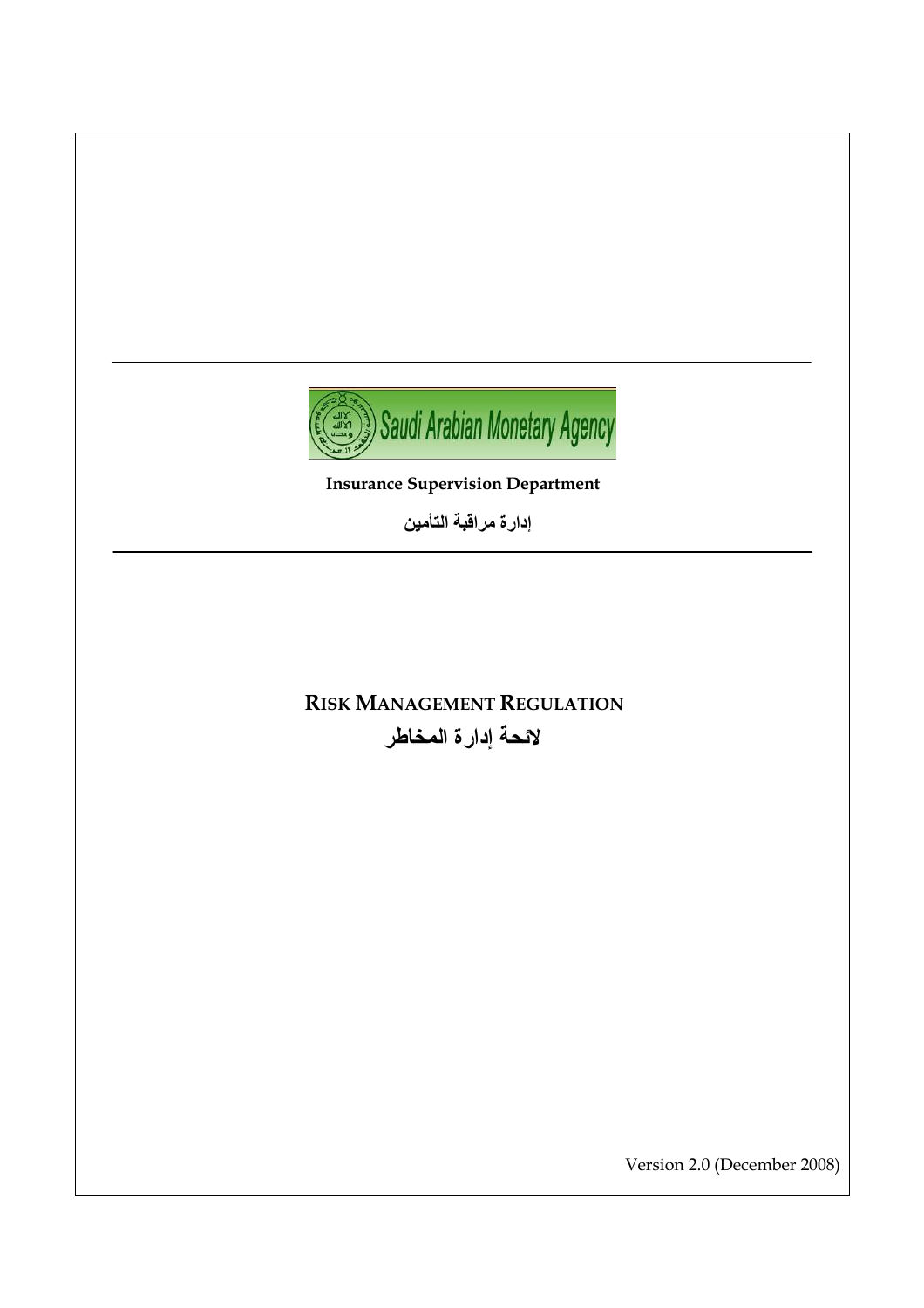

إدارة مراقبة التأمي*ن* 

# **RISK MANAGEMENT REGULATION** لائحة إدار ة المخاطر

Version 2.0 (December 2008)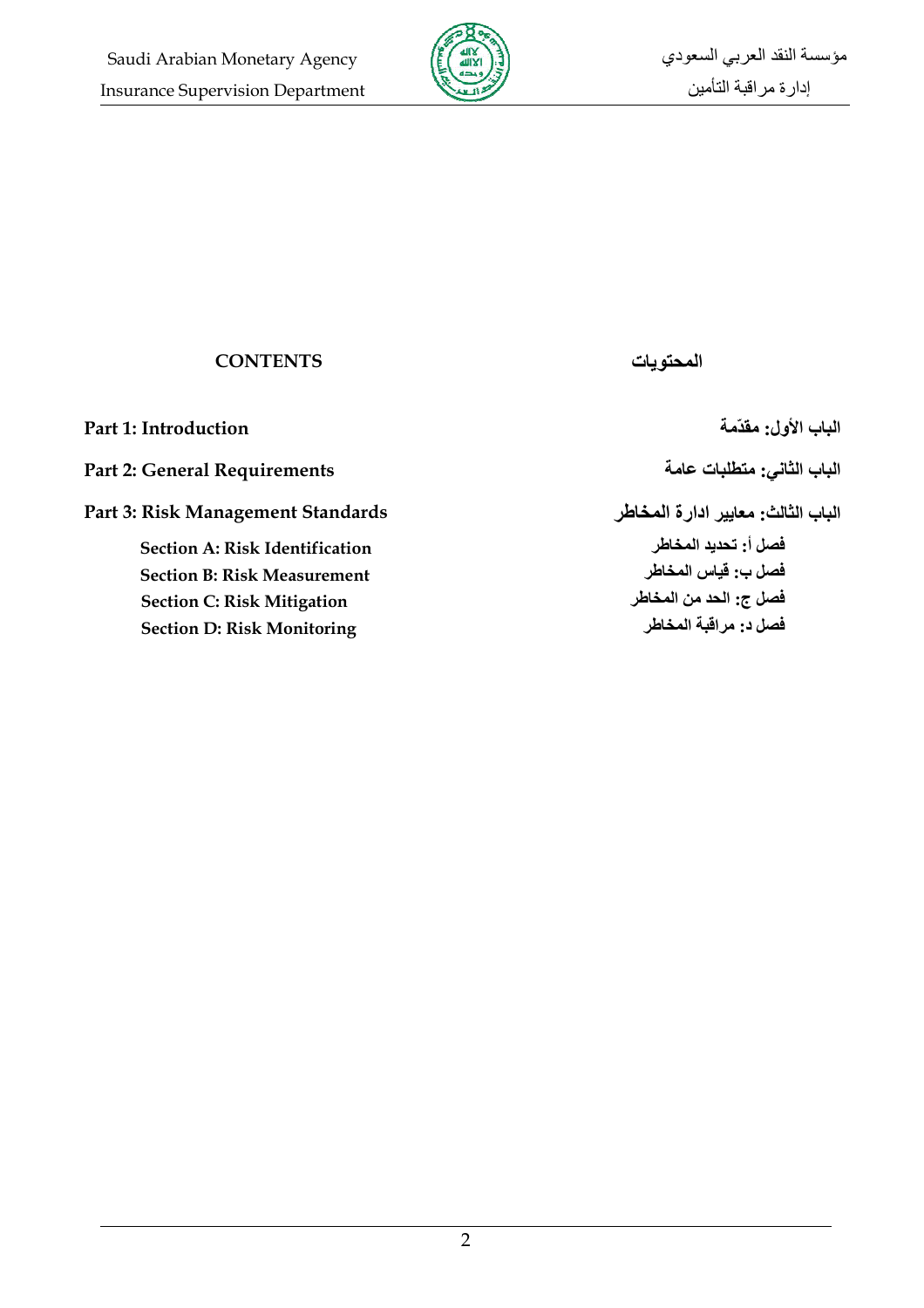

| <b>CONTENTS</b>                                                                                                                                       | المحته يات                                                                                      |
|-------------------------------------------------------------------------------------------------------------------------------------------------------|-------------------------------------------------------------------------------------------------|
| Part 1: Introduction                                                                                                                                  | الباب الأول: مقدّمة                                                                             |
| <b>Part 2: General Requirements</b>                                                                                                                   | الباب الثاني: متطلبات عامة                                                                      |
| Part 3: Risk Management Standards                                                                                                                     | الباب الثالث: معايير ادارة المخاطر                                                              |
| <b>Section A: Risk Identification</b><br><b>Section B: Risk Measurement</b><br><b>Section C: Risk Mitigation</b><br><b>Section D: Risk Monitoring</b> | فصل أ: تحديد المخاطر<br>فصل ب: قياس المخاطر<br>فصل ج: الحد من المخاطر<br>فصل د. مر اقبة المخاطر |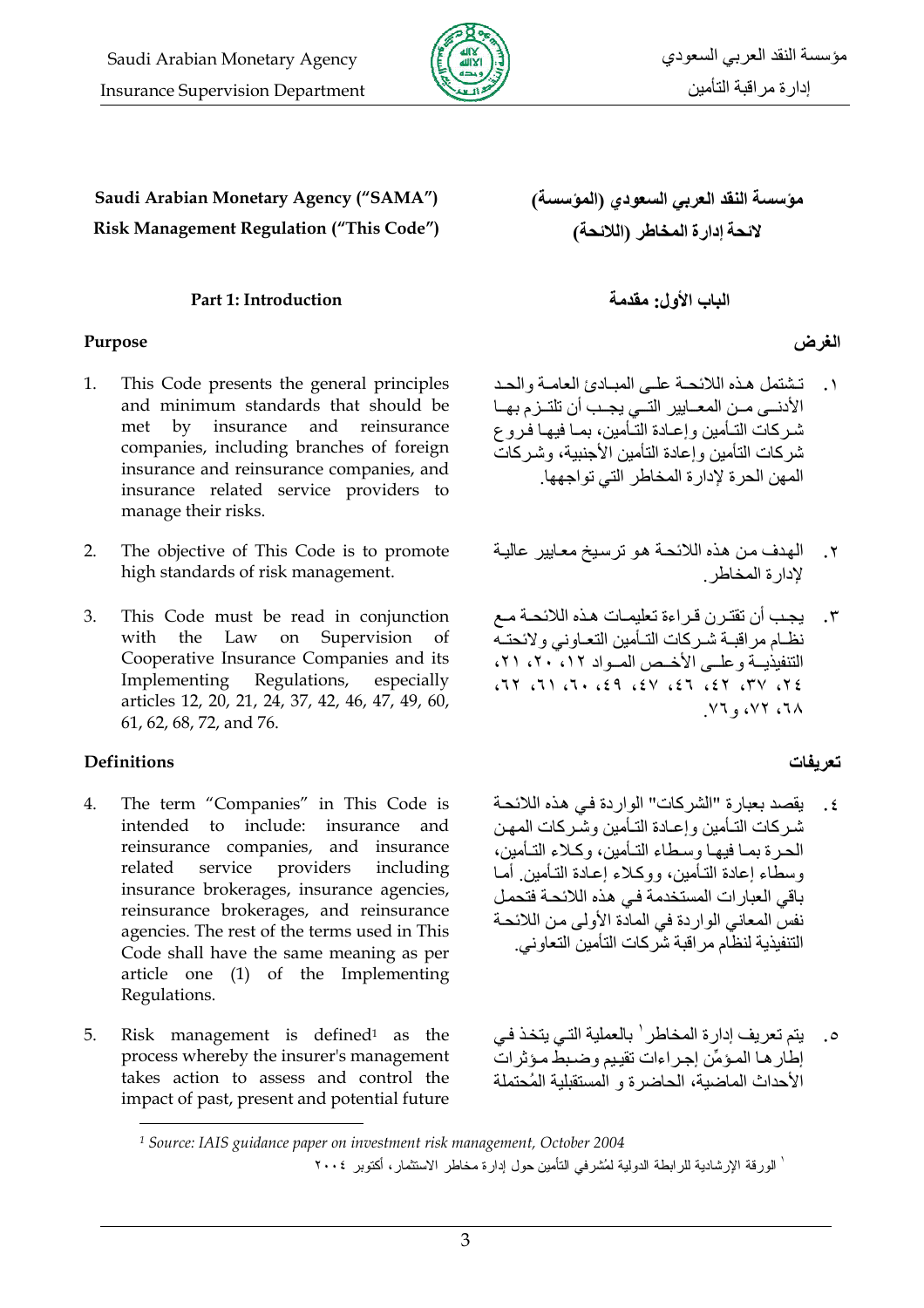

Saudi Arabian Monetary Agency ("SAMA") Risk Management Regulation ("This Code")

#### Part 1: Introduction

#### Purpose

- $1.$ This Code presents the general principles and minimum standards that should be insurance and reinsurance met  $\mathbf{b} \mathbf{v}$ companies, including branches of foreign insurance and reinsurance companies, and insurance related service providers to manage their risks.
- The objective of This Code is to promote  $2.$ high standards of risk management.
- 3. This Code must be read in conjunction with the Law on Supervision of Cooperative Insurance Companies and its Implementing Regulations, especially articles 12, 20, 21, 24, 37, 42, 46, 47, 49, 60, 61, 62, 68, 72, and 76.

#### **Definitions**

- $\overline{4}$ . The term "Companies" in This Code is intended to include: insurance and reinsurance companies, and insurance service providers including related insurance brokerages, insurance agencies, reinsurance brokerages, and reinsurance agencies. The rest of the terms used in This Code shall have the same meaning as per article one (1) of the Implementing Regulations.
- 5. Risk management is defined<sup>1</sup> as the process whereby the insurer's management takes action to assess and control the impact of past, present and potential future

مؤسسة النقد العربي السعودي (المؤسسة) لائحة إدارة المخاطر (اللائحة)

الباب الأول: مقدمة

## الغرض

- ١. تشتمل هذه اللائحة على المبادئ العامية والحد الأدنسي مــن المعــايير التــي يجــب أن تلتــز م بهــا شر كات التـأمين و إعـادة التـأمين، بمــا فيهـا فـر و ع شر كات التأمين و اعادة التأمين الأحنيية، وشير كات المهن الحر ة لإدار ة المخاطر التي تو اجهها.
- الهدف من هذه اللائحة هو ترسيخ معايير عالية  $\cdot$   $\mathsf{r}$ لادار ة المخاطر
- يجب أن تقترن قراءة تعليمات هذه اللائحة مع  $\cdot$   $\mathsf{r}$ نظام مراقبة شركات التأمين التعاوني ولائحته التنفيذيــة وعلــى الأخـص المــواد ١٢، ٢٠، ٢١،  $37$ ,  $Y7$ ,  $73$ ,  $73$ ,  $Y3$ ,  $P3$ ,  $T$ ,  $T$ ,  $T1$ ,  $T7$ ,  $V1, V1, W2$

#### تعريفات

- ٤. يقصد بعبار ة "الشر كات" الوار دة في هذه اللائحة شـر كات التـأمين و إعـادة التـأمين و شـر كات المـهـن الحر ة بمـا فبهـا وسـطاء التـأمين، وكـلاء التـأمين، وسطاء إعادة التـأمين، ووكـلاء إعـادة التـأمين أمـا باقي العبارات المستخدمة في هذه اللائحة فتحمل نفس المعاني الواردة في المادة الأولى من اللائحة التنفيذية لنظام مر اقبة شر كات التأمين التعاو ني.
- يتم تعريف إدارة المخاطر ` بالعملية التي يتخذ في  $\cdot$ .0 إطار هـا المـؤمِّن إجـر اءات تقيـيم و ضـبط مـؤ ثر ات الأحداث الماضية، الحاضر ة و المستقبلية المُحتملة

<sup>&</sup>lt;sup>1</sup> Source: IAIS guidance paper on investment risk management, October 2004 ' الورقة الإرشادية للر ابطة الدولية لمُشرفي التأمين حول ادار ة مخاطر الاستثمار ، أكتوبر ٢٠٠٤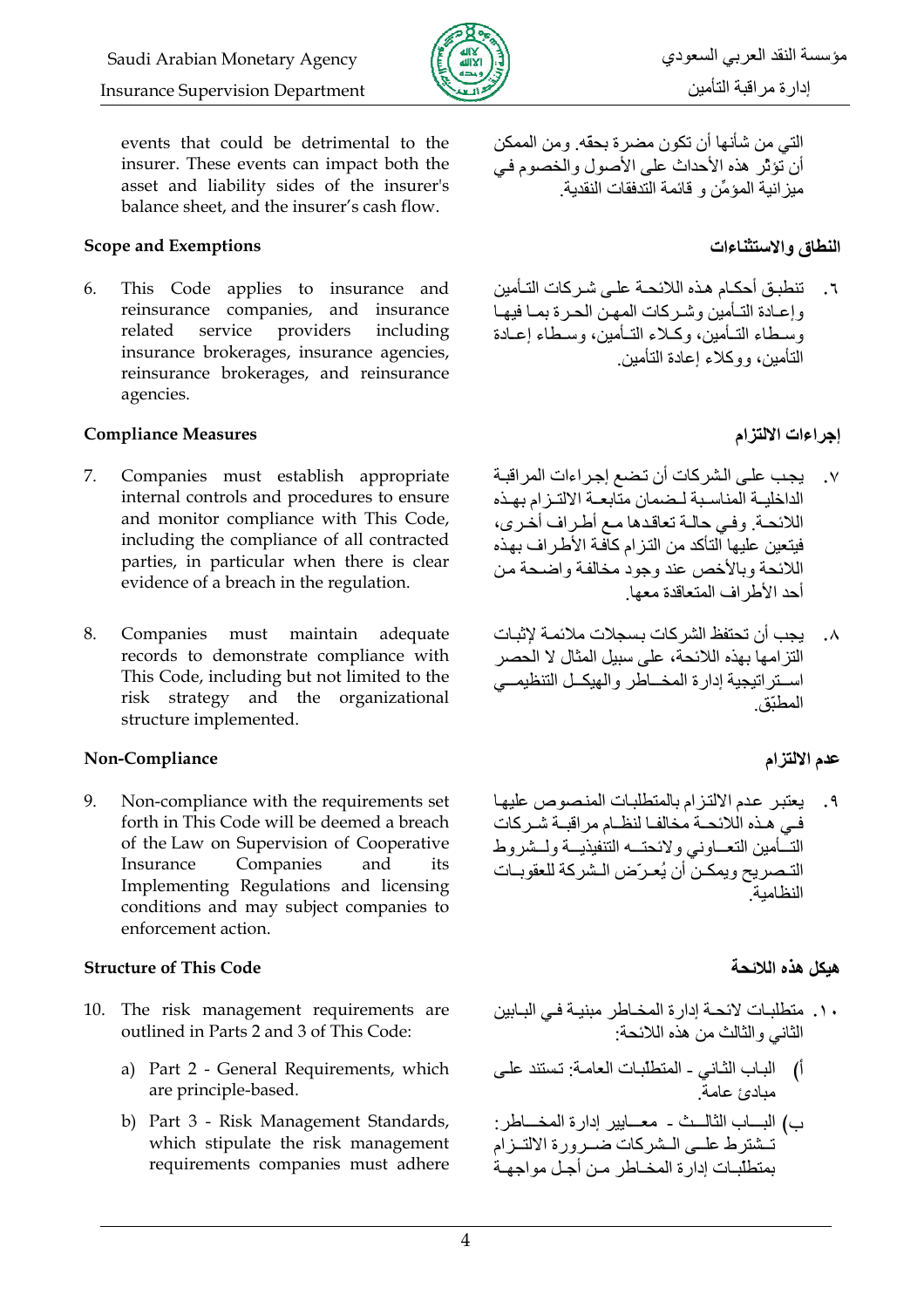

events that could be detrimental to the insurer. These events can impact both the asset and liability sides of the insurer's balance sheet, and the insurer's cash flow.

#### **Scope and Exemptions**

This Code applies to insurance and 6. reinsurance companies, and insurance related service providers including insurance brokerages, insurance agencies, reinsurance brokerages, and reinsurance agencies.

#### **Compliance Measures**

- 7. Companies must establish appropriate internal controls and procedures to ensure and monitor compliance with This Code, including the compliance of all contracted parties, in particular when there is clear evidence of a breach in the regulation.
- 8. Companies must maintain adequate records to demonstrate compliance with This Code, including but not limited to the risk strategy and the organizational structure implemented.

#### Non-Compliance

Non-compliance with the requirements set 9. forth in This Code will be deemed a breach of the Law on Supervision of Cooperative Insurance Companies and its Implementing Regulations and licensing conditions and may subject companies to enforcement action.

#### **Structure of This Code**

- 10. The risk management requirements are outlined in Parts 2 and 3 of This Code:
	- a) Part 2 General Requirements, which are principle-based.
	- b) Part 3 Risk Management Standards, which stipulate the risk management requirements companies must adhere

التي من شأنها أن تكون مضر ة بحقه ومن الممكن أن تَؤثِّر هذه الأحداث على الأصول والخصوم في مبز انبة المؤمِّن و قائمة التدفقات النقدبة

#### النطاق والاستثناءات

٦. تنطبق أحكـام هـذه اللائحـة علـى شـر كات التـأمين وإعبادة التبأمين وشركات المهن الحرة بمبا فيهبا وسطاء التـأمين، وكـلاء التـأمين، وسـطاء إعـادة التأمين، ووكلاء إعادة التأمين

### إجراءات الالتزام

- يجب على الشر كات أن تضع إجر اءات المر اقبـة  $\cdot$  .  $\vee$ الداخلية المناسبة لبضمان متابعية الالتيز ام بهذه اللائحة وفي حالية تعاقدها مع أطر اف أخرى، فبتعين عليها التأكد من التز ام كاّفة الأطر اف بهذه اللائحة وبالأخص عند وجود مخالفة واضحة من أحد الأطر اف المتعاقدة معها
- ٨. يجب أن تحتفظ الشر كات بسجلات ملائمـة لإثبـات التز امها بهذه اللائحة، على سببل المثال لا الحصر استر اتيجية إدارة المخساطر والهيكل التنظيمي المطنّة

#### عدم الالتزام

٩. يعتبر عدم الالتزام بالمتطلبات المنصوص عليها في هذه اللائحة مخالفا لنظام مر اقبــة شـر كات التسأمين التعساوني ولائحتسه التنفيذيسة ولسشروط التـصريح ويمكـن أن يُعـرّض الـشركة للعقوبـات النظامية

#### هبكل هذه اللائحة

- ١٠. متطلبات لائحة إدارة المخاطر مبنيـة فـي البـابين الثاني والثالث من هذه اللائحة:
- أ) الباب الثاني المتطلبات العامة: تستند على . . .<br>مداد*ئ* عامة
- ب) البساب الثالسث معسايير إدارة المخساطر : تسثَّنز ط علــي الــشر كات ضــر و ر ۃ الالتــز ام بمنطلبات ادار ة المخباطر مين أجبل مواجهية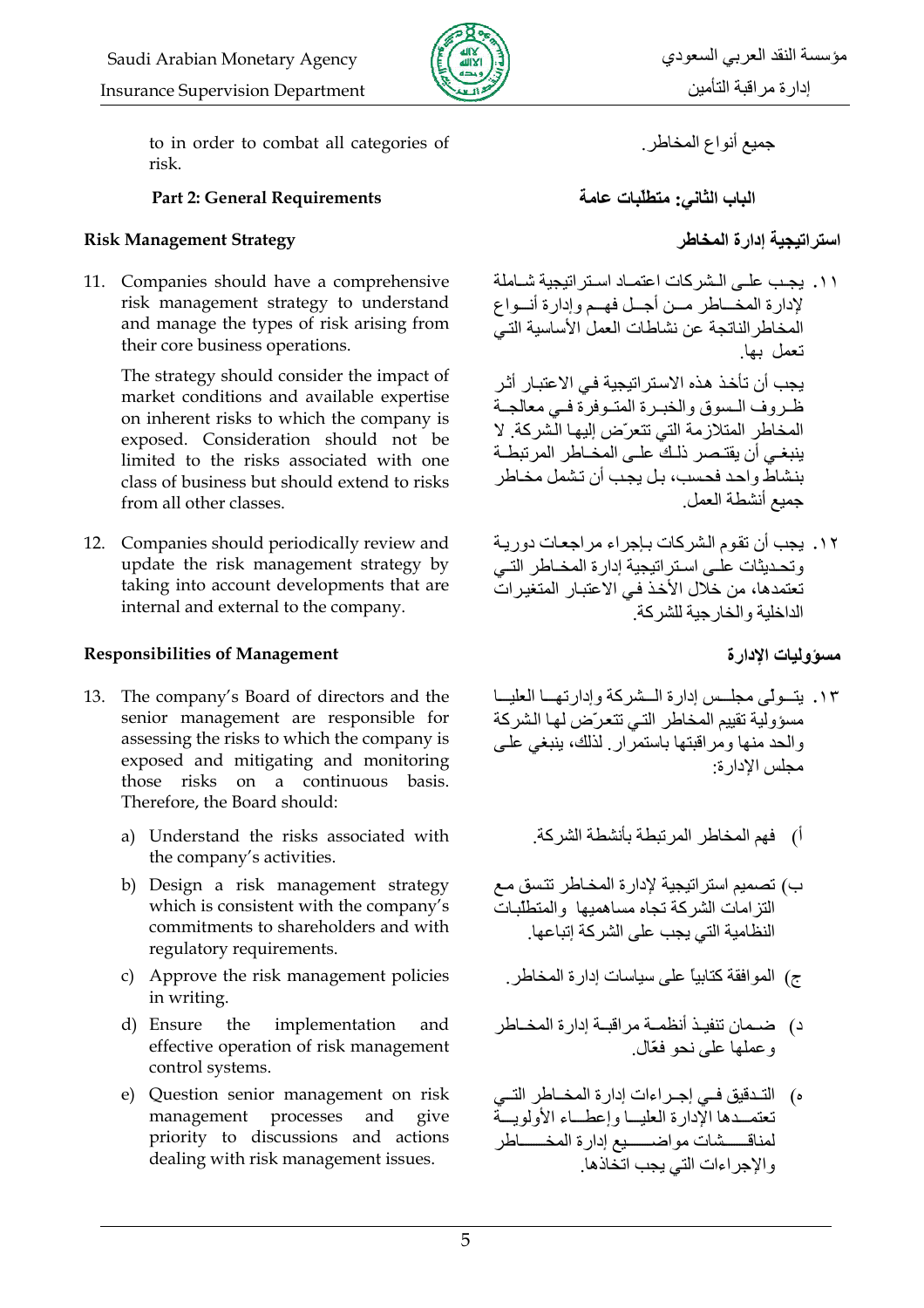

to in order to combat all categories of risk.

#### **Part 2: General Requirements**

#### **Risk Management Strategy**

11. Companies should have a comprehensive risk management strategy to understand and manage the types of risk arising from their core business operations.

The strategy should consider the impact of market conditions and available expertise on inherent risks to which the company is exposed. Consideration should not be limited to the risks associated with one class of business but should extend to risks from all other classes.

12. Companies should periodically review and update the risk management strategy by taking into account developments that are internal and external to the company.

#### **Responsibilities of Management**

- 13. The company's Board of directors and the senior management are responsible for assessing the risks to which the company is exposed and mitigating and monitoring those risks on a continuous basis. Therefore, the Board should:
	- a) Understand the risks associated with the company's activities.
	- b) Design a risk management strategy which is consistent with the company's commitments to shareholders and with regulatory requirements.
	- c) Approve the risk management policies in writing.
	- d) Ensure the implementation and effective operation of risk management control systems.
	- e) Question senior management on risk management processes and give priority to discussions and actions dealing with risk management issues.

جميع أنواع المخاطر

الباب الثاني: متطلّبات عامة

## استراتيجية إدارة المخاطر

١١. بجب على الشر كات اعتمـاد اسـتر اتبجبة شـاملة لإدارة المخـاطر مـن أجـل فهـم وإدارة أنـواع المخاطر الناتجة عن نشاطات العمل الأساسية التي تعمل بها

يجب أن تأخذ هذه الاستر اتيجية في الاعتبار أثر ظروف السوق والخبرة المتوفرة فبي معالجة المخاطر المتلاز مة التي تتعرّض إليها الشركة. لا ينبغـي أن يقتـصر ذلـكَّ علـي المخـاطر المرتبطـة بنشاط واحد فحسب، بل يجب أن تشمل مخاطر جميع أنشطة العمل

١٢. يجب أن تقوم الشركات بإجراء مراجعات دورية .<br>وتحديثات على استراتيجية إدارة المخـاطر التـي تعتمدها، من خلال الأخذ في الاعتبار المتغير ات الداخلية والخار جية للشركة.

مسوّ وليات الإدار ة

١٣. يتسولَّى مجلَّس إدارة السَّنركة وإدارتهما العليسا مسؤولية تقييم المخاطر التي تتعرّض لها الشركة والحد منها ومراقبتها باستمرار لذلك، ينبغي علىي مجلس الإدار ة:

اً) فهم المخاطر المر تبطة بأنشطة الشر كة.

- ب) تصميم استر اتيجية لإدارة المخاطر تتسق مع النز امات الشركة تجاه مساهميها والمتطلبات النظامية التي يجب على الشر كة إتباعها.
	- ج) الموافقة كتابياً على سياسات إدار ة المخاطر .
- د) ضــمان تنفيــذ أنظمــة مراقبــة إدار ة المخــاطر و عملها على نحو فعّال
- ه) التـدقيق فــى إجــراءات إدارة المخــاطر التــى تعتمــدها الإدار ة العليـــا وإعطـــاء الأولوبـــة لمناقسشات مواضسيع إدارة المخسساطر و الإجر اءات التي يجب اتحاذها ِ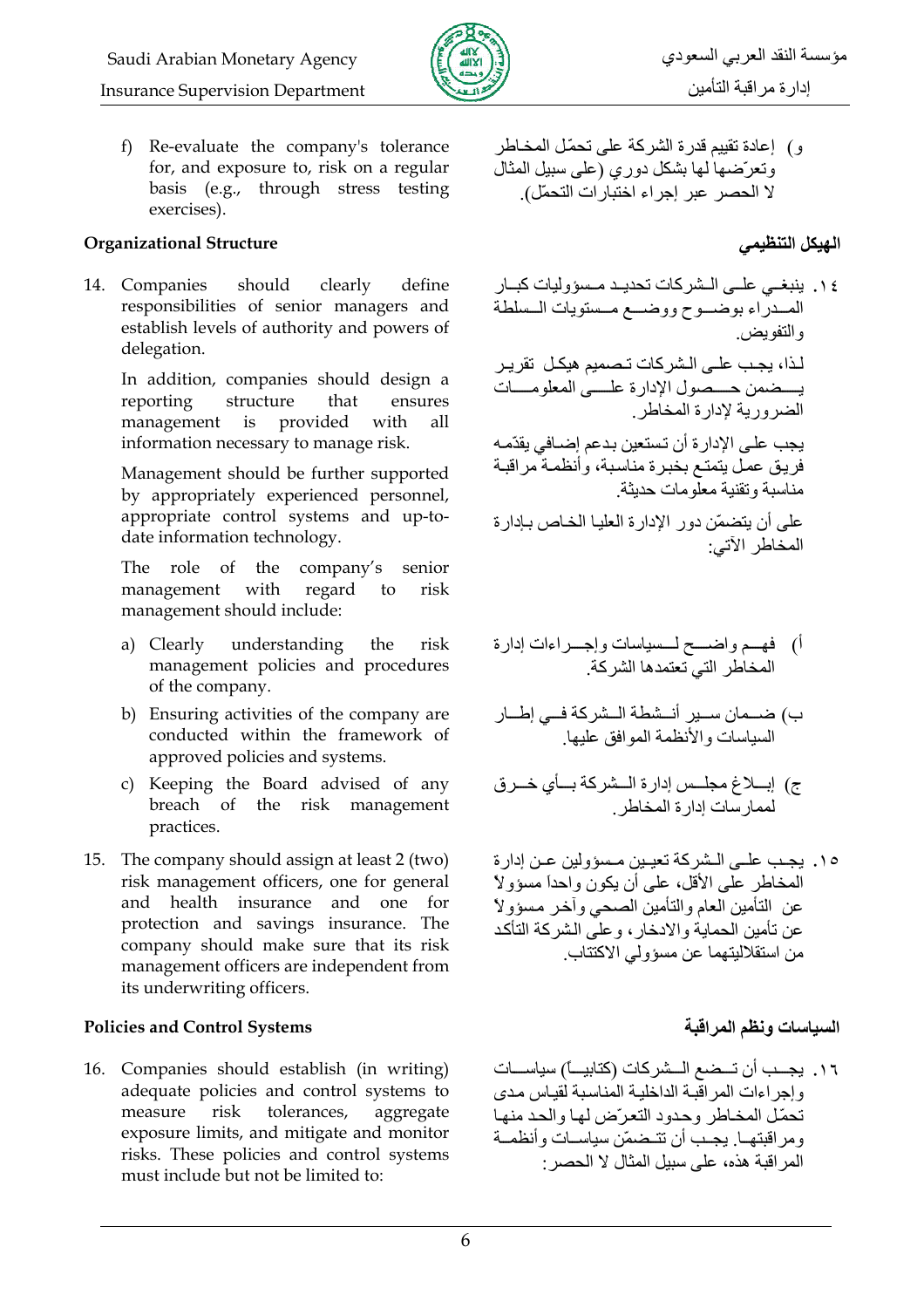

f) Re-evaluate the company's tolerance for, and exposure to, risk on a regular basis (e.g., through stress testing exercises).

#### **Organizational Structure**

14. Companies should clearly define responsibilities of senior managers and establish levels of authority and powers of delegation.

In addition, companies should design a structure that reporting ensures management provided with is all information necessary to manage risk.

Management should be further supported by appropriately experienced personnel, appropriate control systems and up-todate information technology.

The role of the company's senior management with regard to risk management should include:

- a) Clearly understanding risk the management policies and procedures of the company.
- b) Ensuring activities of the company are conducted within the framework of approved policies and systems.
- c) Keeping the Board advised of any breach of the risk management practices.
- 15. The company should assign at least 2 (two) risk management officers, one for general and health insurance and one for protection and savings insurance. The company should make sure that its risk management officers are independent from its underwriting officers.

#### **Policies and Control Systems**

16. Companies should establish (in writing) adequate policies and control systems to risk tolerances, measure aggregate exposure limits, and mitigate and monitor risks. These policies and control systems must include but not be limited to:

و ) إعادة تقييم قدر ة الشر كة على تحمّل المخـاطر وتعرَّضها لها بشكل دوري (على سبيل المثال لا الحصر عبر إجراء اختبارات التحمّل).

الهيكل التنظيمي

١٤. ينبغي على الشركات تحديد مسؤوليات كبار المسدراء بوضسوح ووضسع مسستويات السلطة و التفويض لـذا، يجـب علـي الـشر كات تـصميم هيكـل تقر يـر يسضمن حسصول الإدارة علسى المعلومسات الضرورية لإدارة المخاطر يجب على الإدارة أن تستعين بدعم إضبافي يقدّمه فريق عمل يتمتع بخبرة مناسبة، وأنظمة مراقبة مناسبة وتقنبة معلّومات حدبثة على أن يتضمّن دور الإدارة العليـا الخـاص بـإدارة

المخاطر الآتي:

- أ) فهـم واضـــح لــسياسات وإجـــراءات إدارة المخاطر التي تعتمدها الشركة
- ب) ضـمان سـير أنـشطة الـشركة فـي إطـار السياسات والأنظمة الموافق عليها
- ج) إبلاغ مجلس إدارة المشركة بسأي خمرق .<br>لممارسات إدارة المخاطر
- ١٥. بجب علـي الـشر كة تعبـين مـسوِّ لين عـن إدار ة المخاطر على الأقل، على أن يكون واحداً مسؤولاً عن التأمين العام والتأمين الصحى وأخر مسؤولأ عن تأمين الحماية و الادخار ، و علَّى الشر كة التأكد من استقلالينهما عن مسؤولي الاكتتاب.

## السياسات ونظم المر اقبة

١٦. يجــب أن تــضع الــشركات (كتابيــــًا) سياســــات وإجر اءات المر اقبة الداخلية المناسبة لقياس مدى تحمّل المخاطر وحدود التعرّض لها والحد منها ومر اقبتهــا. يجـب أن تتـضمّن سباســات و أنظمــة المر اقبة هذه، على سبيل المثال لا الحصر -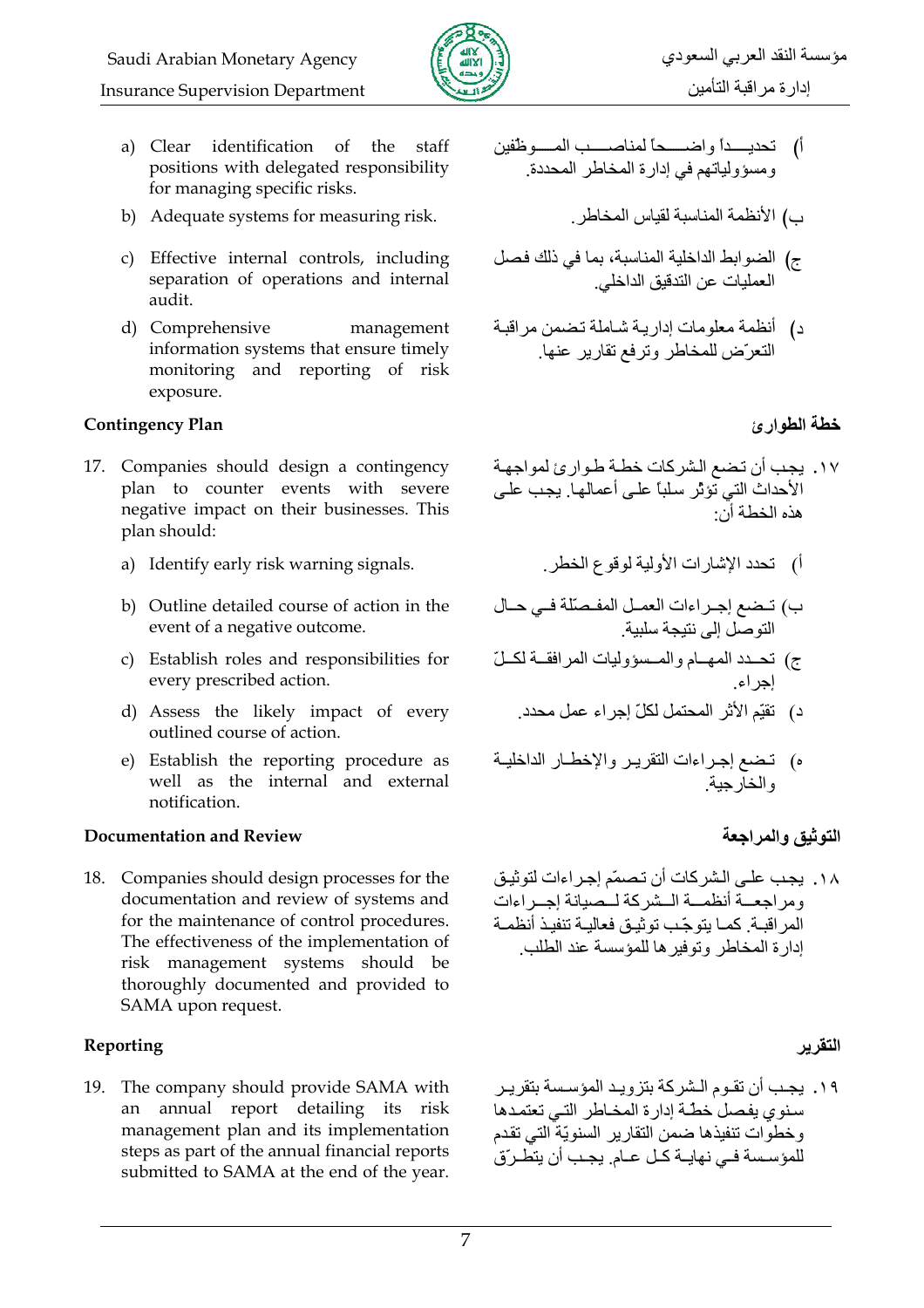

- a) Clear identification of the staff positions with delegated responsibility for managing specific risks.
- b) Adequate systems for measuring risk.
- c) Effective internal controls, including separation of operations and internal audit.
- d) Comprehensive management information systems that ensure timely monitoring and reporting of risk exposure.

#### **Contingency Plan**

- 17. Companies should design a contingency plan to counter events with severe negative impact on their businesses. This plan should:
	- a) Identify early risk warning signals.
	- b) Outline detailed course of action in the event of a negative outcome.
	- c) Establish roles and responsibilities for every prescribed action.
	- d) Assess the likely impact of every outlined course of action.
	- e) Establish the reporting procedure as well as the internal and external notification.

## **Documentation and Review**

18. Companies should design processes for the documentation and review of systems and for the maintenance of control procedures. The effectiveness of the implementation of risk management systems should be thoroughly documented and provided to SAMA upon request.

## Reporting

19. The company should provide SAMA with an annual report detailing its risk management plan and its implementation steps as part of the annual financial reports submitted to SAMA at the end of the year.

- أ) تحديسـداً واضـــــحاً لمناصـــــب المـــــوظفين ومسؤولياتهم في إدارة المخاطر المحددة
	- ب) الأنظمة المناسبة لقباس المخاطر
- ج) الضوابط الداخلية المناسبة، بما في ذلك فصل العملبات عن التدقيق الداخلي
- د) أنظمة معلومات إدارية شاملة تضمن مراقبة التعرِّض للمخاطر وترفع تقاربر عنها

## خطة الطوارئ

- ١٧. يجب أن تضع الشركات خطة طوارئ لمواجهة الأحداث التي تؤثر سلباً على أعمالها. يجب على هذه الخطة أن·
	- أ) تحدد الإشارات الأولية لوقوع الخطر
- ب) تضع إجراءات العمل المفصلة في حال التو صل إلى نتيجة سلبية
- ج) تحدد المهام والمسؤوليات المرافقة لكلّ
	- د) تقيّم الأثر المحتمل لكلّ إجراء عمل محدد.
- ه) تضع إجراءات التقرير والإخطـار الداخليـة و الخار حنة

## التوثيق والمراجعة

١٨. يجب علـى الشركات أن تصمّم إجراءات لتوثيق ومر اجعسة أنظمسة السشركة لسصيانة إجسر اءات المر اقبة. كمـا يتوجّب توثيـق فعاليـة تنفيـذ أنظمـة ادارة المخاطر وتوفير ها للمؤسسة عند الطلب

## التقرير

١٩. يجب أن تقـوم الـشر كـة بتز و يـد المؤسـسة بتقر يـر سنوى يفصل خطة إدارة المخاطر التي تعتمدها وخطوات تنفيذها ضمن التقارير السنويّة التي تقدم ر<br>للمؤسسة فـي نهايـة كـل عـام يجـب أن يتطـرون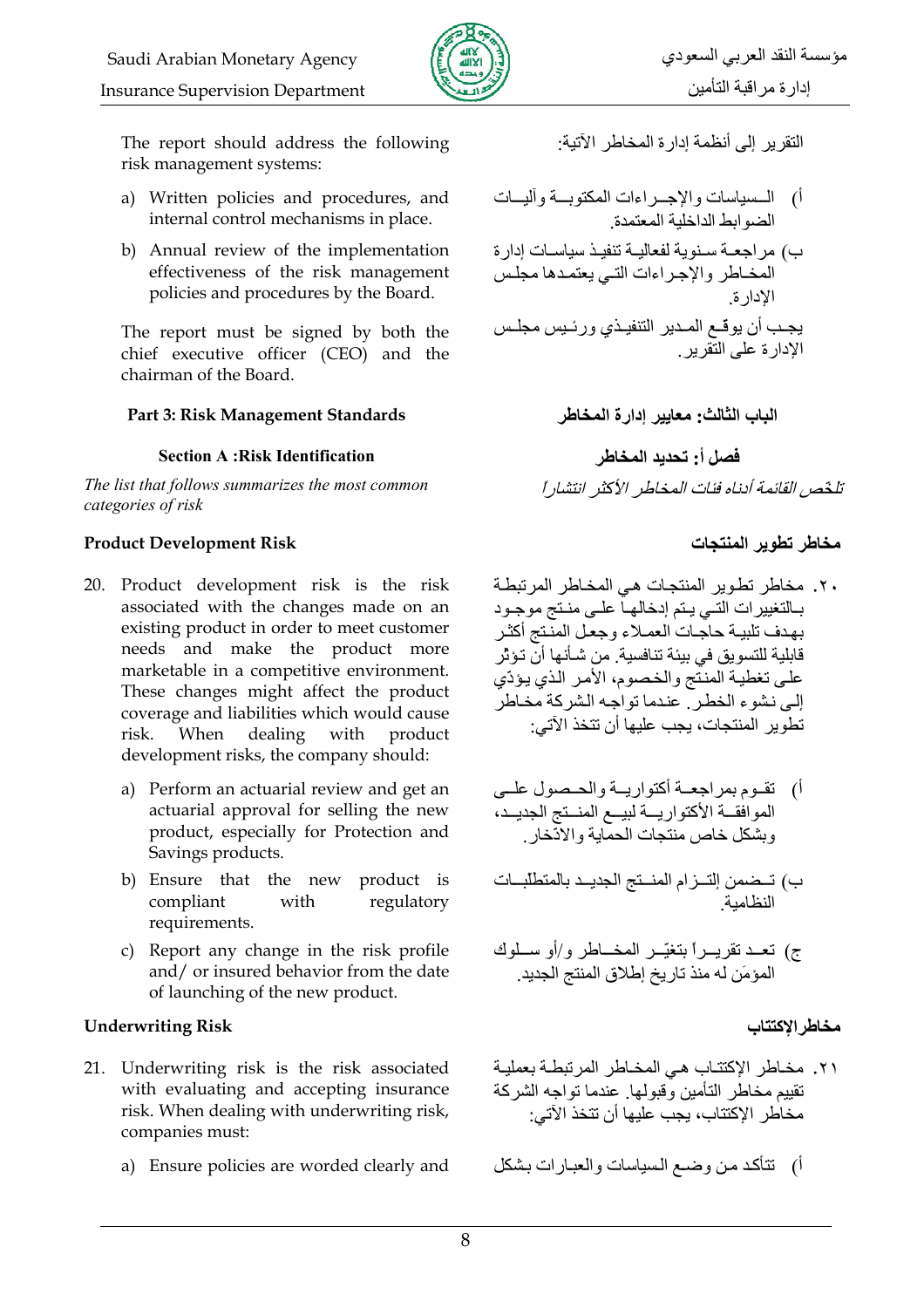

The report should address the following risk management systems:

- a) Written policies and procedures, and internal control mechanisms in place.
- b) Annual review of the implementation effectiveness of the risk management policies and procedures by the Board.

The report must be signed by both the chief executive officer (CEO) and the chairman of the Board.

#### Part 3: Risk Management Standards

#### **Section A: Risk Identification**

The list that follows summarizes the most common categories of risk

#### **Product Development Risk**

- 20. Product development risk is the risk associated with the changes made on an existing product in order to meet customer needs and make the product more marketable in a competitive environment. These changes might affect the product coverage and liabilities which would cause risk. When dealing with product development risks, the company should:
	- a) Perform an actuarial review and get an actuarial approval for selling the new product, especially for Protection and Savings products.
	- b) Ensure that the new product is compliant with regulatory requirements.
	- c) Report any change in the risk profile and/ or insured behavior from the date of launching of the new product.

#### **Underwriting Risk**

- 21. Underwriting risk is the risk associated with evaluating and accepting insurance risk. When dealing with underwriting risk, companies must:
	- a) Ensure policies are worded clearly and

التقرير إلى أنظمة إدارة المخاطر الآتية:

أ) الــسياسات والإجـــراءات المكتوبـــة وأليـــات<br>الضوابط الداخلية المعتمدة

ب) مراجعــة سـنوية لفعاليــة تنفيـذ سياسـات إدارة المخاطر والإجراءات التي يعتمدها مجلس الادار ة يجب أن يوقّع المدير التنفيذي ورئيس مجلس الإدارة على التقرير .

> الباب الثالث: معايير إدارة المخاطر فصل أ: تحديد المخاطر تلخّص القائمة أدناه فئات المخاطر الأكثر انتشار أ

### مخاطر تطوير المنتحات

٢٠. مخاطر تطوير المنتجات هي المخاطر المرتبطة ببالتغيير ات التبي يبتم إدخالهياً عليي منتج موجبود بهدف تلبية حاجات العملاء وجعل المنتج أكثر قابلية للتسويق في بيئة تنافسية. من شـأنـها أنّ تـؤثِّر علىي تغطية المنتّج والخصوم، الأمر الذي يؤدّي إلى نشوء الخطر . عندما تواجه الشركة مخاطر تطوير المنتجات، بجب عليها أن تتخذ الآتي:

- أ) تقوم بمراجعة أكتواريبة والحيصول عليي الموافقة الأكتواريسة لبيم المنستج الجديد، وبشكل خاص منتجات الحمابة والادّخار
- ب) تـضمن إلتــزام المنــتج الجديــد بالمتطلبــات النظامية
- ج) تعد تقريــراً بتغيّــر المخــاطر و/أو ســلوك المؤمَن له منذ تار يخ اطلاق المنتج الجديد

## مخاطر الاكتتاب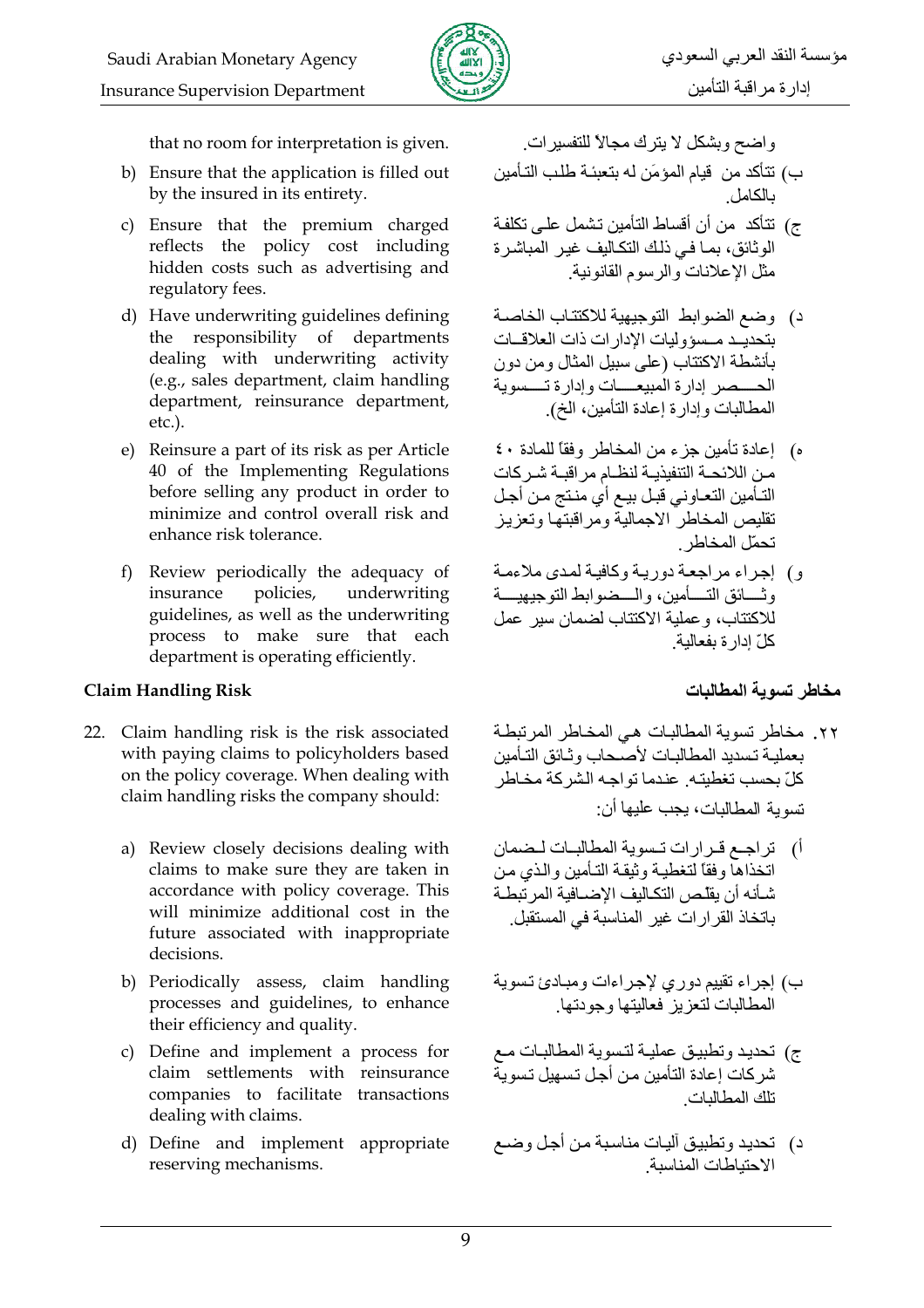

that no room for interpretation is given.

- b) Ensure that the application is filled out by the insured in its entirety.
- c) Ensure that the premium charged reflects the policy cost including hidden costs such as advertising and regulatory fees.
- d) Have underwriting guidelines defining the responsibility of departments dealing with underwriting activity (e.g., sales department, claim handling department, reinsurance department,  $etc.$ ).
- e) Reinsure a part of its risk as per Article 40 of the Implementing Regulations before selling any product in order to minimize and control overall risk and enhance risk tolerance.
- f) Review periodically the adequacy of insurance policies, underwriting guidelines, as well as the underwriting process to make sure that each department is operating efficiently.

## **Claim Handling Risk**

- 22. Claim handling risk is the risk associated with paying claims to policyholders based on the policy coverage. When dealing with claim handling risks the company should:
	- a) Review closely decisions dealing with claims to make sure they are taken in accordance with policy coverage. This will minimize additional cost in the future associated with inappropriate decisions.
	- b) Periodically assess, claim handling processes and guidelines, to enhance their efficiency and quality.
	- c) Define and implement a process for claim settlements with reinsurance companies to facilitate transactions dealing with claims.
	- d) Define and implement appropriate reserving mechanisms.

واضح وبشكل لا يترك مجالا للتفسيرات

- ب) تتأكد من قيام المؤمَن له بتعبئة طلب التأمين بالكامل
- ج) نتأكد من أن أقساط التأمين تشمل على تكلفـة الوثائق، بمـا فـي ذلك التكـاليف غيـر المباشر ة مثل الإعلانات و الر سو م القانو نية.
- د) وضع الضوابط التوجبهية للاكتتاب الخاصية بتحديث مسوو ليات الإدار ات ذات العلاقات بأنشطة الاكتتاب (على سبيل المثال ومن دون الحسيصير إدارة المبيعسيات وإدارة تسسوبة المطالبات وإدارة إعادة التأمين، الخ).
- ه) [عادة تأمين جزء من المخاطر وفقاً للمادة ٤٠ من اللائحــة التنفيذيــة لنظــام مر اقبــة شـر كات التـأمين التعـاوني قبـل بيـع أي منـتج مـن أجـل تقليص المخاطر الاجمالية ومراقبتها وتعزيز تحمّل المخاطر
- و) إجراء مراجعة دورية وكافية لمدى ملاءمة و تــــائق التــــأمين، و الــــضو ابط التو جيهيــــة للاكتتاب، وعملية الاكتتاب لضمان سير عمل كلّ ادار ة يفعالية

مخاطر تسوية المطالبات

- ٢٢. مخاطر تسوية المطالبات هي المخاطر المرتبطة بعمليـة تـسديد المطـالبـات لأصـحاب و ثـائق التـأمدن كلِّ بحسب تغطيته. عندما تو اجـه الشر كة مخـاطر نسوية المطالبات، بجب عليها أن:
- أ) تراجع قرارات تسوية المطالبات لضمان اتخذاها وفقا لتغطية وثيقة التأمين والذي من شأنه أن يقلص التكاليف الإضبافية المر تبطة باتخاذ القر ار ات غير المناسبة في المستقبل.
- ب) إجراء تقييم دوري لإجراءات ومبادئ تسوية ، . . .<br>المطالبات لتعزيز فعاليتها وجودتها ـ
- ج) تحديد وتطبيق عمليـة لتـسوية المطـالبـات مـع<br>شركات إعادة التأمين مـن أجـل تـسهيل تـسوية تلك المطالبات
- د) تحديد وتطبيق أليات مناسبة من أجل وضع الاحتباطات المناسبة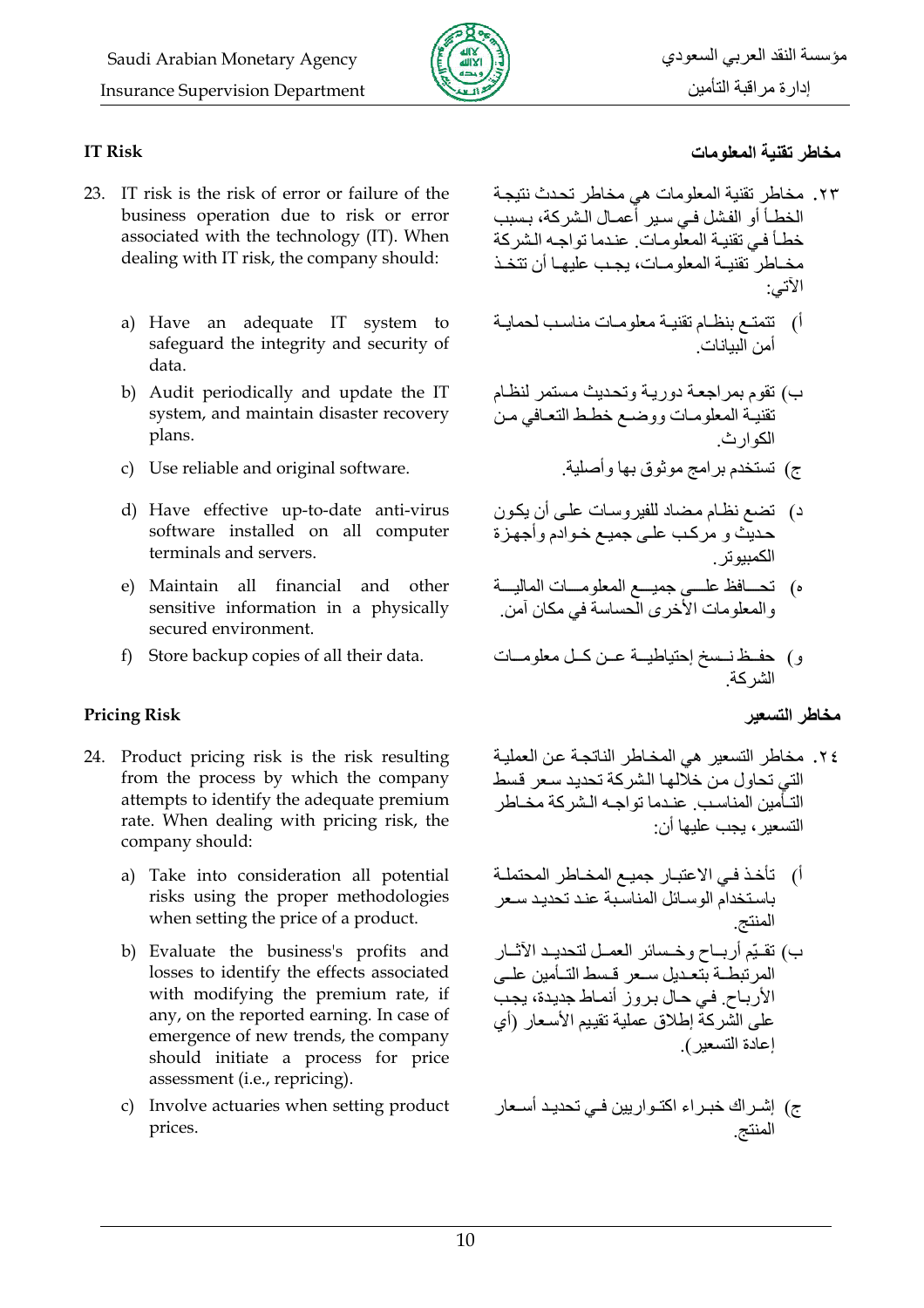

### **IT Risk**

- 23. IT risk is the risk of error or failure of the business operation due to risk or error associated with the technology (IT). When dealing with IT risk, the company should:
	- a) Have an adequate IT system to safeguard the integrity and security of data.
	- b) Audit periodically and update the IT system, and maintain disaster recovery plans.
	- c) Use reliable and original software.
	- d) Have effective up-to-date anti-virus software installed on all computer terminals and servers.
	- e) Maintain all financial and other sensitive information in a physically secured environment.
	- f) Store backup copies of all their data.

## **Pricing Risk**

- 24. Product pricing risk is the risk resulting from the process by which the company attempts to identify the adequate premium rate. When dealing with pricing risk, the company should:
	- a) Take into consideration all potential risks using the proper methodologies when setting the price of a product.
	- b) Evaluate the business's profits and losses to identify the effects associated with modifying the premium rate, if any, on the reported earning. In case of emergence of new trends, the company should initiate a process for price assessment (i.e., repricing).
	- c) Involve actuaries when setting product prices.

## مخاطر تقنبة المعلومات

- ٢٣. مخاطر نقنية المعلومات هي مخاطر تحدث نتيجة الخطــأ أو الفشل فــى سـير أعمــال الـشركـة، بـسبب خطأ في تقنية المعلومات عندما تواجه الشركة مخــاطر ۛ تقنبــة المعلو مــات، بـجـب علبـهــا أن تتخـذ الأتسي:
- أ) تتمتـع بنظـام تقنيـة معلومـات مناسـب لحمايـة<br>أمن البيانات
- ب) تقوم بمراجعة دورية وتحديث مستمر لنظام تقنيه المعلومات ووضم خطط التعافي من الکه ار ث
	- ج) تستخدم برامج موثوق بها وأصلية
- د) تضع نظام مضاد للفيروسات على أن يكون ے ت<br>حدیث و مرکب علمی جمیع خوادم وأجهزة الكمىبو تر
- ه) تحـــافظ علـــي جميـــع المعلومـــات الماليـــة<br>والمعلومات الأخرى الحساسة في مكان أمن
- و) حفـظ نــسخ إحتياطيــة عــن كــل معلومــات<br>الشركة

مخاطر التسعير

- ٢٤. مخاطر التسعير هي المخاطر الناتجة عن العملية التي تحاول من خلّالها الشر كة تحديد سعر قسط التـأمين المناسب عندما تواجـه الشركة مخـاطر التسعير ، بحب عليها أن·
- أ) تأخذ فـي الاعتبـار جميـع المخـاطر المحتملـة باستخدام الوسائل المناسبة عند تحديد سعر المنتج ب) تقيّم أربــاح وخـسائر العمــل لتحديــد الأثــار المر تبطئة بتعبدل سبعر اقسط التبأمين عليى الأرباح. في حال بروز أنماط جديدة، يجب على الشركة إطلاق عملية تقييم الأسعار (أي إعادة التسعير).
- ج) إشــراك خبــراء اكتــواريين فــي تحديـد أســعار<br>المنتج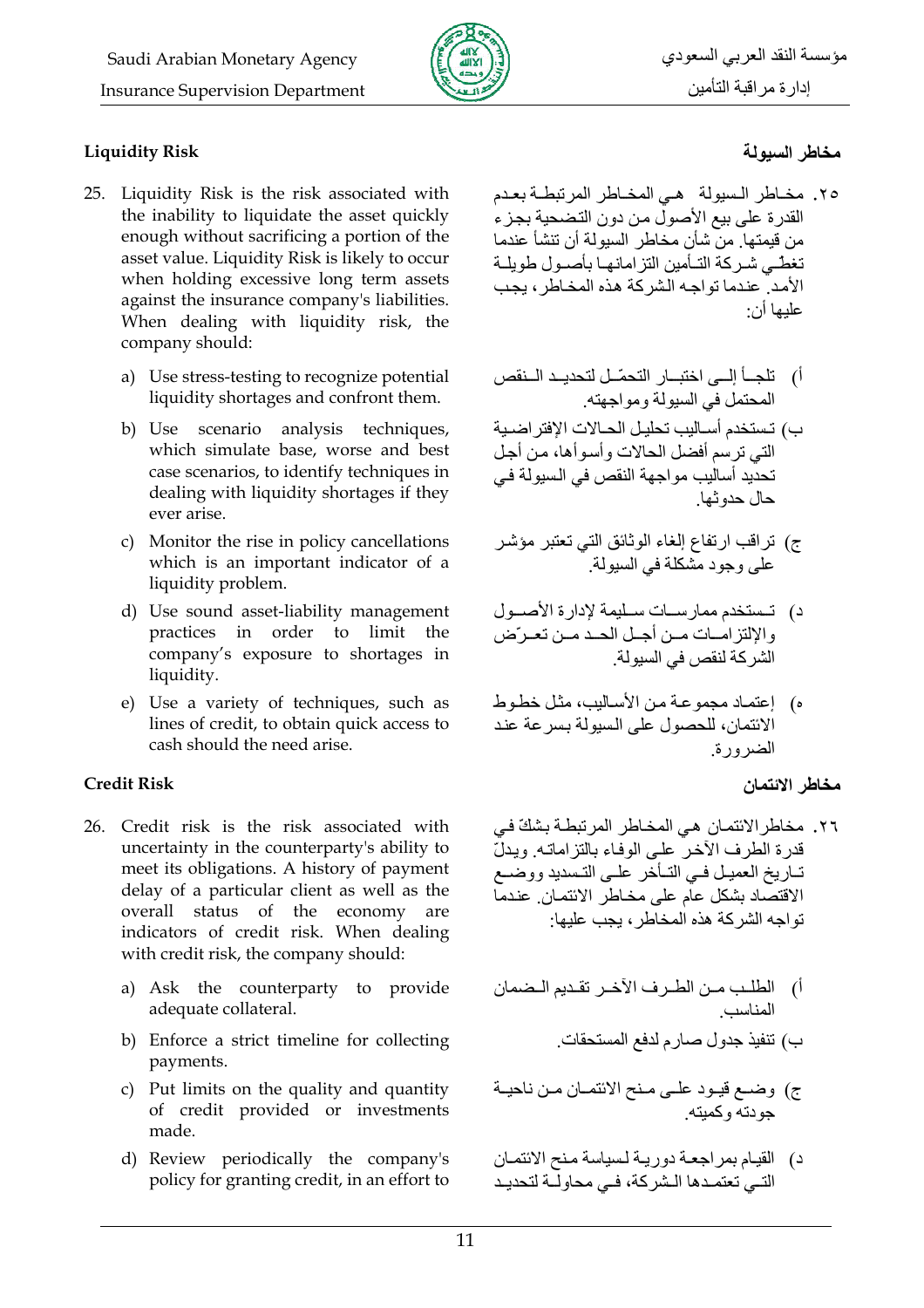

### **Liquidity Risk**

- 25. Liquidity Risk is the risk associated with the inability to liquidate the asset quickly enough without sacrificing a portion of the asset value. Liquidity Risk is likely to occur when holding excessive long term assets against the insurance company's liabilities. When dealing with liquidity risk, the company should:
	- a) Use stress-testing to recognize potential liquidity shortages and confront them.
	- b) Use scenario analysis techniques, which simulate base, worse and best case scenarios, to identify techniques in dealing with liquidity shortages if they ever arise.
	- c) Monitor the rise in policy cancellations which is an important indicator of a liquidity problem.
	- d) Use sound asset-liability management practices in order to limit the company's exposure to shortages in liquidity.
	- e) Use a variety of techniques, such as lines of credit, to obtain quick access to cash should the need arise.

#### **Credit Risk**

- 26. Credit risk is the risk associated with uncertainty in the counterparty's ability to meet its obligations. A history of payment delay of a particular client as well as the overall status of the economy are indicators of credit risk. When dealing with credit risk, the company should:
	- a) Ask the counterparty to provide adequate collateral.
	- b) Enforce a strict timeline for collecting payments.
	- c) Put limits on the quality and quantity of credit provided or investments made.
	- d) Review periodically the company's policy for granting credit, in an effort to

## مخاطر السبولة

- ٢٥. مخـاطر الـسيولة هـى المخـاطر المرتبطـة بعدم القدر ة على بيع الأصولُ من دونِ التضحية بجز ء من قبمتها ٍ من شأن مخاطر السبولة أن تنشأ عندما تغطّـے شـر كـة التــأمبن التز امـانـهـا بـأصــو ل طو بلــة الأمد عندما تواجه الشركة هذه المخاطر ، بجب عليها أن·
- أ) تلجــأ إلـــى اختبــار التحمّــل لتحديــد الــنقص المحتمل في السبو لة و مو اجهته.
- ب) تستخدم أسـاليب تحليل الحـالات الإفتر اضـية التي ترسم أفضل الحالات وأسوأها، من أجل تحديد أساليب مواجهة النقص في السيولة في حال حدو ثها
- ج) تراقب ارتفاع الغاء الوثائق التي تعتبر مؤشر<br>على وجود مشكلة في السيولة
- د) تستخدم ممارسات سليمة لإدارة الأصول والإلتزامات مسن أجلل الحد مس تعرض الشّر كة لنقص في السبولة
- ه) [عتماد مجموعة من الأساليب، مثل خطوط الائتمان، للحصول على السيولة بسر عة عند الضرورة

## مخاطر الائتمان

- ٢٦. مخاطر الائتمان هي المخاطر المرتبطـة بشكّ في قدر ة الطر ف الآخر ً علي الوفاء بالتز اماتـه ٍ وبدلّ تـاريخ العميـل فـي التـأخر علـي التـسديد ووضــع الاقتصّاد بشكل علّم على مخاطر الائتمان. عندما تواجه الشركة هذه المخاطر ، بحب عليها·
- أ) الطلب مـن الطـرف الآخـر تقـديم الـضمان المناسب
	- ب) تنفيذ جدول صارم لدفع المستحقات
- ج) وضمع قيـود علـي مـنح الانتمـان مـن ناحيـة جو دته و کمبته
- د) القيام بمراجعة دورية لسياسة منح الائتمان التـي تعتمـدها الـشركة، فـي محاولّـة لتحديـد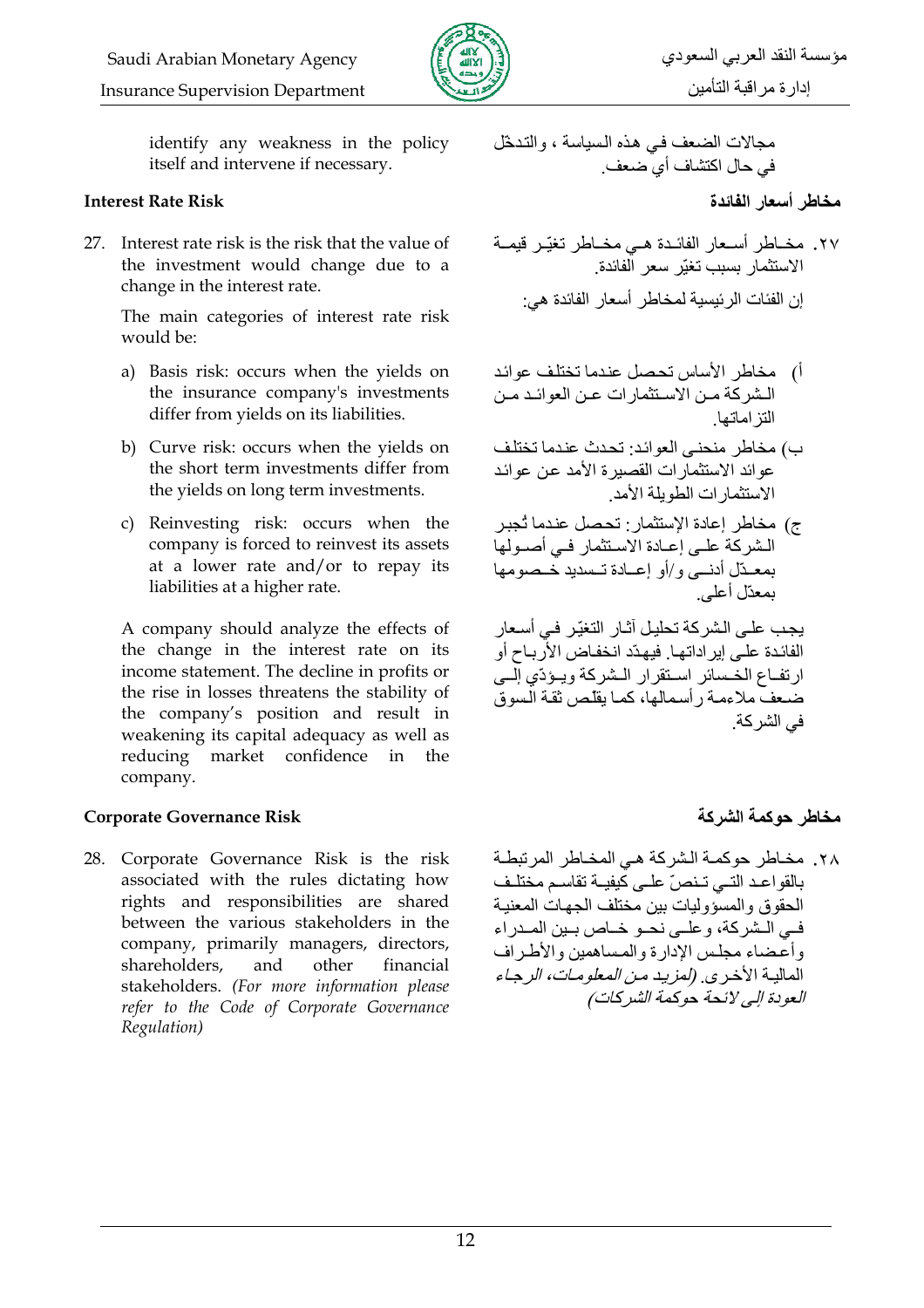

identify any weakness in the policy itself and intervene if necessary.

#### **Interest Rate Risk**

27. Interest rate risk is the risk that the value of the investment would change due to a change in the interest rate.

> The main categories of interest rate risk would be:

- a) Basis risk: occurs when the yields on the insurance company's investments differ from yields on its liabilities.
- b) Curve risk: occurs when the yields on the short term investments differ from the yields on long term investments.
- c) Reinvesting risk: occurs when the company is forced to reinvest its assets at a lower rate and/or to repay its liabilities at a higher rate.

A company should analyze the effects of the change in the interest rate on its income statement. The decline in profits or the rise in losses threatens the stability of the company's position and result in weakening its capital adequacy as well as reducing market confidence in the company.

#### **Corporate Governance Risk**

28. Corporate Governance Risk is the risk associated with the rules dictating how rights and responsibilities are shared between the various stakeholders in the company, primarily managers, directors, shareholders, and other financial stakeholders. (For more information please refer to the Code of Corporate Governance Regulation)

مجالات الضعف في هذه السياسة ، والتدخّل في حال اكتشاف أي ضعف.

- ٢٧. مخــاطر أسـعار الفائـدة هـي مخــاطر تغيّـر قيمــة الاستثمار بسبب تغبّر سعر الفائدة إن الفئات الرئيسية لمخاطر أسعار الفائدة هي:
- أ) مخاطر الأساس تحصل عندما تختلف عوائد الشركة من الاستثمارات عن العوائد من التز اماتها
- ب) مخاطر منحني العوائد: تحدث عندما تختلف عوائد الاستثمارات القصيرة الأمد عن عوائد الاستثمار ات الطويلة الأمد
- ج) مخاطر إعادة الإستثمار: تحصل عندما تُجبر الشركة على إعـادة الاسـتثمار فـي أصـولها بمعبدّل أدنسي و/أو إعبادة تسبدبد خبصومها ىمعدّل أعلى

يجب على الشركة تحليل أثـار التغيّر في أسعار الفائدة علـى إير اداتهـا. فيهدّد انخفـاض الأربــاح أو ار تفياع الخسبائر استقرار البشركة وبيؤدّى الب ضيعف ملاءمة رأسمالها، كما يقلص ثقة السوق في الشر كة ِ

## مخاطر حوكمة الشركة

٢٨. مخـاطر حوكمــة الـشركـة هــي المخـاطر المرتبطــة بالقواعد التبى تنصّ علىي كيفيـة تقاسم مختلـف الحقوق والمسؤوليات بين مختلف الجهات المعنبة فبي البشر كة، و عليي نحبو خياص بيين المبدر اء وأعضاء مجلس الإدارة والمساهمين والأطراف المالية الأخرى. (لمزيد من المعلومات، الرجاء العودة إلى لائحة حوكمة الشركات)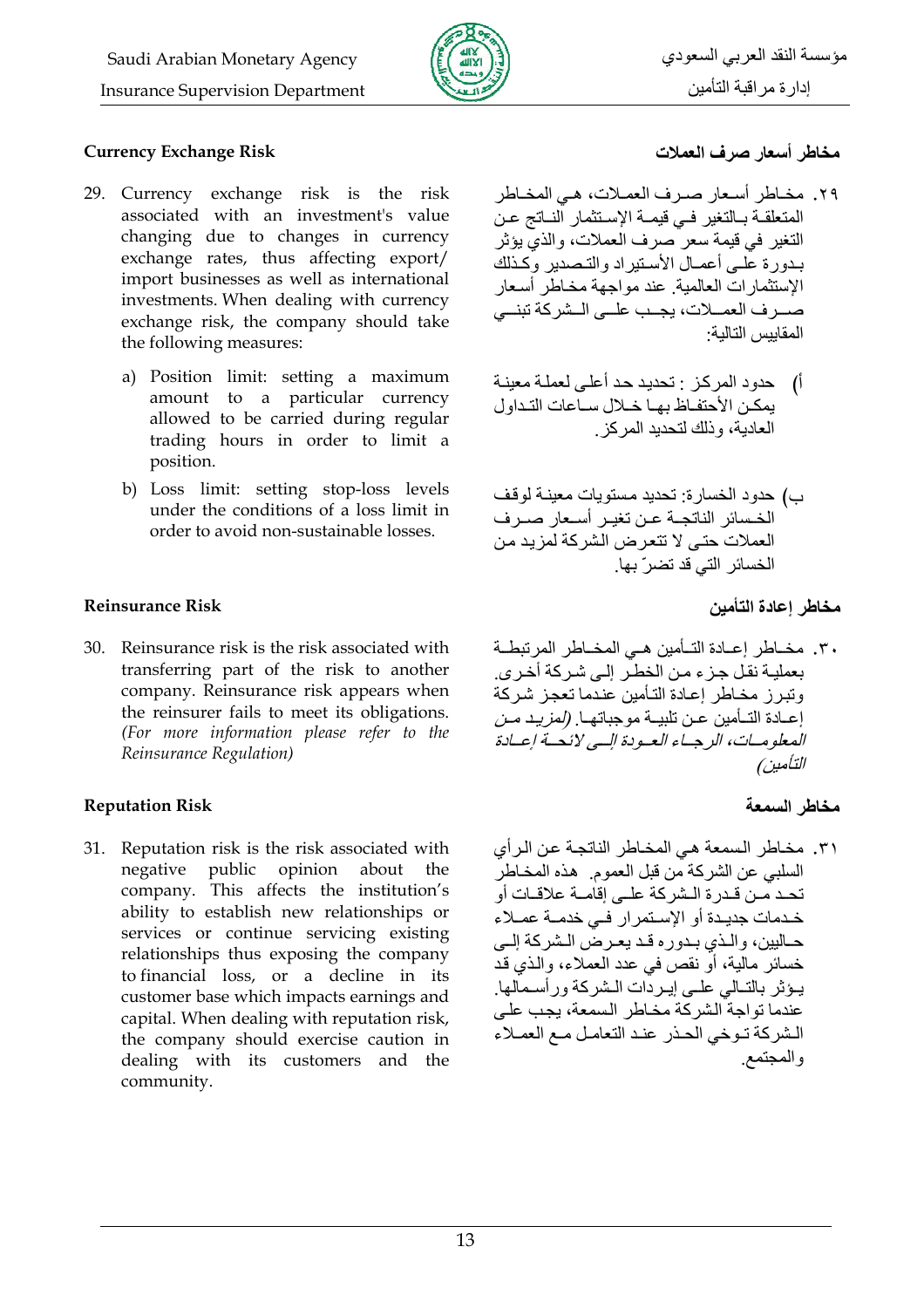

#### **Currency Exchange Risk**

- 29. Currency exchange risk is the risk associated with an investment's value changing due to changes in currency exchange rates, thus affecting export/ import businesses as well as international investments. When dealing with currency exchange risk, the company should take the following measures:
	- a) Position limit: setting a maximum amount to a particular currency allowed to be carried during regular trading hours in order to limit a position.
	- b) Loss limit: setting stop-loss levels under the conditions of a loss limit in order to avoid non-sustainable losses.

### **Reinsurance Risk**

30. Reinsurance risk is the risk associated with transferring part of the risk to another company. Reinsurance risk appears when the reinsurer fails to meet its obligations. (For more information please refer to the Reinsurance Regulation)

## **Reputation Risk**

31. Reputation risk is the risk associated with negative public opinion about the company. This affects the institution's ability to establish new relationships or services or continue servicing existing relationships thus exposing the company to financial loss, or a decline in its customer base which impacts earnings and capital. When dealing with reputation risk, the company should exercise caution in dealing with its customers and the community.

## مخاطر أسعار صرف العملات

- ٢٩. مخـاطر أسـعار صـرف العمـلات، هـي المخـاطر المتعلقــة بــالتغير فــي قيمــة الإسـتثمار النــاتج عـن النّغير في قيمة سعر ًصرف العملات، والذيّ يؤثّر بيدور ة علي أعصال الأستبر اد والتبصدير وكذلك الإستثمارات العالمية عند مواجهة مخاطر أسعار صرر ف العمــلات، يجــب علــى الــشركة تبنــى المقاييس التالية·
- أ) حدود المركز : تحديد حد أعلى لعملة معينة بمكن الأحتفاظ بها خلال ساعات التداول العادية، وذلك لتحديد المركز
- ب) حدود الخسارة: تحديد مستويات معينـة لوقف الخسائر الناتجــة عــن تغيــر أســعار صــر ف العملات حتى لا تتعرض الشركة لمزيد من الخسائر التي قد تضر ّ بها.

مخاطر اعادة التأمين

٣٠. مخــاطر إعــادة التــأمبن هــي المخــاطر المر تبطــة بعمليـة نقل جـزء مـن الخطـّر إلـى شـركة أخـرى. وتبرز مخاطر إعادة التأمين عندما تعجز شركة إعــادة التــأمين عـن تلبيــة موجباتهــا (*لمزيـد مـن* الععلوميات، الرجساء العبودة السي لائحية إعبادة التأمين)

## مخاطر السمعة

٣١. مخاطر السمعة هي المخاطر الناتجة عن الرأي السلبي عن الشركة من قبل العموم. هذه المخاطر تحـد مـن قـدر ۃ الـشر كـة علــ اقامــة علاقــات أو خـدمات جديـدة أو الإسـتمرار فـي خدمــة عمــلاء حـاليين، والـذي بـدوره قـد يعـرض الـشركة إلـي خسائر ٍ مالية، أو نقص في عدد العملاء، والذي قد يـؤثر بالتــالى علــى إيـردّات الـشركة ورأسـمالها. عندما نو اجة الشر كة مخاطر السمعة، بجب على الشركة توخي الحذر عند التعامل مع العملاء و المجتمع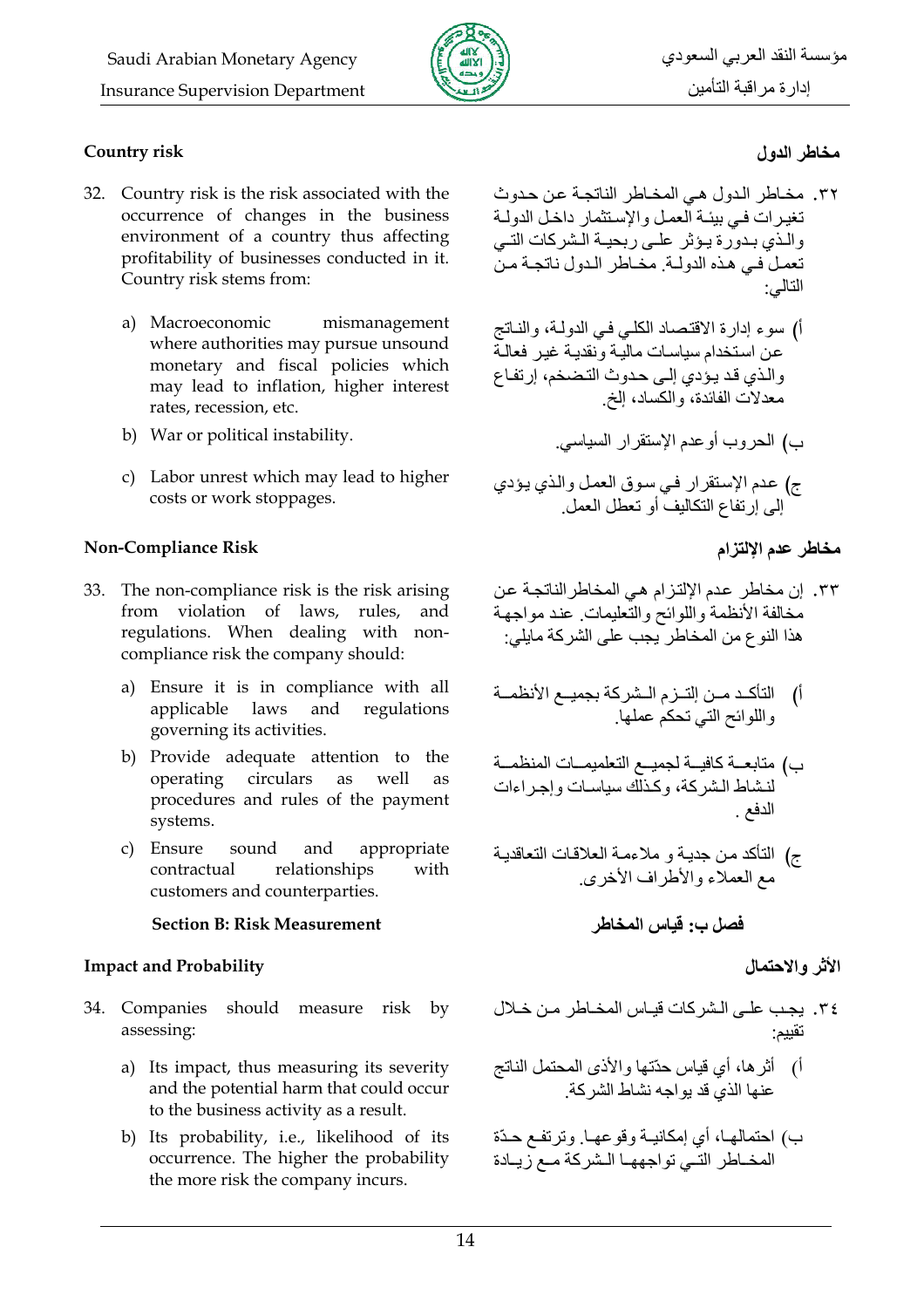

### **Country risk**

- 32. Country risk is the risk associated with the occurrence of changes in the business environment of a country thus affecting profitability of businesses conducted in it. Country risk stems from:
	- a) Macroeconomic mismanagement where authorities may pursue unsound monetary and fiscal policies which may lead to inflation, higher interest rates, recession, etc.
	- b) War or political instability.
	- c) Labor unrest which may lead to higher costs or work stoppages.

### **Non-Compliance Risk**

- 33. The non-compliance risk is the risk arising from violation of laws, rules, and regulations. When dealing with noncompliance risk the company should:
	- a) Ensure it is in compliance with all applicable laws and regulations governing its activities.
	- b) Provide adequate attention to the circulars as operating well as procedures and rules of the payment systems.
	- c) Ensure sound and appropriate contractual relationships with customers and counterparties.

#### **Section B: Risk Measurement**

#### **Impact and Probability**

- 34. Companies should measure risk  $by$ assessing:
	- a) Its impact, thus measuring its severity and the potential harm that could occur to the business activity as a result.
	- b) Its probability, i.e., likelihood of its occurrence. The higher the probability the more risk the company incurs.

## مخاطر الدول

- ٣٢. مخاطر الدول هي المخاطر الناتجة عن حدوث تغير ات في بيئـة العمـل و الإسـتثمار داخـل الدولـة والذي بدورة يؤثر علمي ربحية الشركات التمي تعملُ في هذه الدولية مخباطر الدول ناتجية من التالي:
- أ) سوء إدارة الاقتصاد الكلي في الدولـة، والنـاتج عن استخدام سياسات مالية ونقدية غير فعالية والذي قد يؤدي إلى حدوث التضخم، إرتفاع معدلات الفائدة، والكساد، إلخ
- ج) عدم الإستقرار في سوق العمل والذي يؤدي الى ارتفاع التكاليف أو تعطل العمل

ب) الحروب أوعدم الإستقرار السياسي.

## مخاطر عدم الإلتزام

- ٣٣. إن مخاطر عدم الإلتزام هي المخاطر الناتجة عن مخالفة الأنظمة واللوائح والتعليمات عند مواجهة هذا النوع من المخاطر يجب على الشركة مايلي:
- أ) التأكد مـن إلتـزم الـشركة بجميـع الأنظمــة واللوائح التي تحكم عملها
- ب) متابعـــة كافيـــة لجميـــع التعلميمـــات المنظمـــة لنشاط الشركة، وكذلك سياسات وإجراءات الدفع
- ج) التأكد من جدية و ملاءمة العلاقات التعاقدية مع العملاء والأطّراف الأخرى

فصل ب: قياس المخاطر

## الأثر والاحتمال

- ٣٤. يجب على الشركات قياس المخاطر من خلال
- أ) أثرها، أي قياس حدّتها والأذي المحتمل الناتج عنها الذيّ قد يواجه نشاط الشركة.
- ب) احتمالهـا، أي إمكانيــة وقوعهـا. وترتفـع حـدّة المخـاطر التـّـى تواجههـا الـشركة مـع زيـادة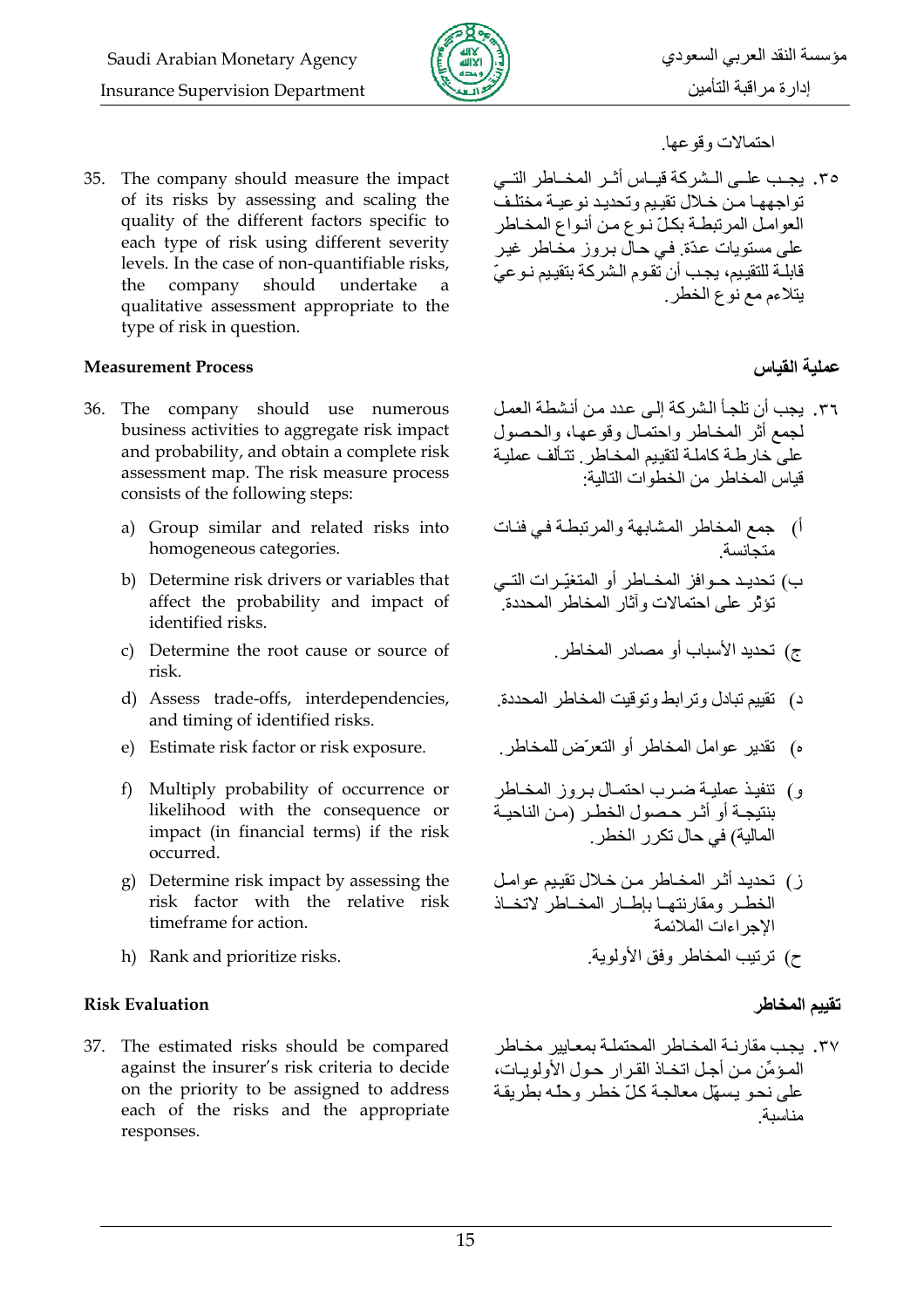

#### **Measurement Process**

- 36. The company should use numerous business activities to aggregate risk impact and probability, and obtain a complete risk assessment map. The risk measure process consists of the following steps:
	- a) Group similar and related risks into homogeneous categories.
	- b) Determine risk drivers or variables that affect the probability and impact of identified risks.
	- c) Determine the root cause or source of risk.
	- d) Assess trade-offs, interdependencies, and timing of identified risks.
	- e) Estimate risk factor or risk exposure.
	- f) Multiply probability of occurrence or likelihood with the consequence or impact (in financial terms) if the risk occurred.
	- g) Determine risk impact by assessing the risk factor with the relative risk timeframe for action.
	- h) Rank and prioritize risks.

#### **Risk Evaluation**

37. The estimated risks should be compared against the insurer's risk criteria to decide on the priority to be assigned to address each of the risks and the appropriate responses.

# مؤسسة النقد العربي السعودي إدارة مراقبة التأمين

#### احتمالات وقوعها

٣٥. بجب عليي البشر كة قبياس أثير المخياطر التي تواجهها من خلال تقييم وتحديد نوعية مختلف العوامل المرتبطة بكلّ نوع من أنواع المخاطر على مستويات عدّة. في حال بروز مخاطر غير قابلــة للتقييم، يجب أن تقوم الشركة بتقييم نـوعيّ يتلاءم مع نوع الخطر ِ

### عملية القياس

- ٣٦. يجب أن تلجأ الشركة إلى عدد من أنشطة العمل لجمع أثر المخاطر واحتمال وقوعها، والحصول على خار طـة كاملـة لتقييم المخـاطر . تتـألف عمليـة قياس المخاطر من الخطوات التالية:
- أ) جمع المخاطر المشابهة والمرتبطة في فئات متجانسة
- ب) تحديـد حــو افز المخــاطر أو المتغيّـر ات التــى تؤثِّر على احتمالات وأثار المخاطر المحددة.
	- ج) تحديد الأسباب أو مصادر المخاطر.
- د) تقييم تبادل وتر ابط وتوقيت المخاطر المحددة.
- ه) \_ تقدير عوامل المخاطر أو التعرِّض للمخاطر .
- و) تنفيذ عمليـة ضـرب احتمـال بـروز المخـاطر بنتيجة أو أثـر حصول الخطـر (مـن الناحيـة المالية) في حال تكر ر الخطر
- ز) تحديد أثـر المخـاطر مـن خـلال تقييم عوامـل الخطر ومقارنتها بإطار المخاطر لاتخاذ الاجر اءات الملائمة ح) ترتيب المخاطر وفق الأولوية

#### تقييم المخاطر

٣٧. يجب مقار نــة المخــاطر المحتملــة بمعــابير مخــاطر المؤمِّن من أجل اتخـاذ القرار حـول الأولويـات، على نحو بسهّل معالجة كلّ خطر وحلّه بطربقة مناسىة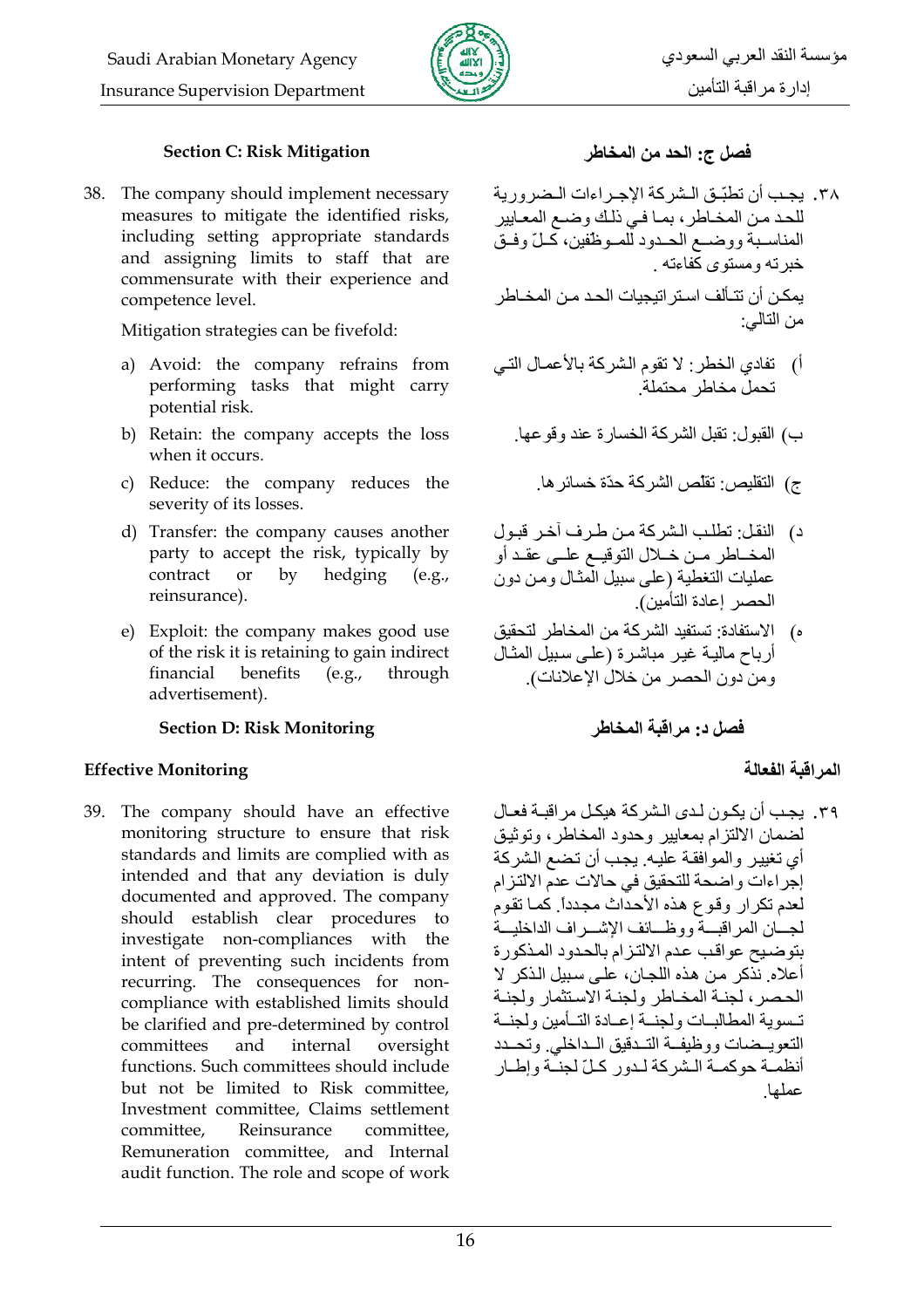

#### **Section C: Risk Mitigation**

38. The company should implement necessary measures to mitigate the identified risks, including setting appropriate standards and assigning limits to staff that are commensurate with their experience and competence level.

Mitigation strategies can be fivefold:

- a) Avoid: the company refrains from performing tasks that might carry potential risk.
- b) Retain: the company accepts the loss when it occurs.
- c) Reduce: the company reduces the severity of its losses.
- d) Transfer: the company causes another party to accept the risk, typically by <sub>or</sub> contract  $\mathbf{b}$ hedging  $(e.g.,$ reinsurance).
- e) Exploit: the company makes good use of the risk it is retaining to gain indirect financial benefits  $(e.g.,$ through advertisement).

#### **Section D: Risk Monitoring**

#### **Effective Monitoring**

39. The company should have an effective monitoring structure to ensure that risk standards and limits are complied with as intended and that any deviation is duly documented and approved. The company should establish clear procedures to investigate non-compliances with the intent of preventing such incidents from recurring. The consequences for noncompliance with established limits should be clarified and pre-determined by control committees and internal oversight functions. Such committees should include but not be limited to Risk committee, Investment committee, Claims settlement committee, Reinsurance committee. Remuneration committee, and Internal audit function. The role and scope of work

## فصل ج: الحد من المخاطر

- ٣٨. يجب أن تطبِّق الشركة الإجراءات الـضرورية للحد من المخاطر، بما في ذلك وضع المعايير المناسـبة ووضــع الحـدود للمـوظفين، كَـلّ وفـق خبر ته و مستو ی کُفاءته ۱ بمكن أن تتـألف اسـتر اتيجيات الحـد مـن المخـاطر من التالي:
- أ) تفادي الخطر : لا تقوم الشركة بالأعمـال التـي تحمل مخاطر محتملة

ب) القدول: تقبل الشر كة الخسار ة عند وقو عها

- ج) التقليص: تقلّص الشركة حدّة خسائر ها
- د) النقل: تطلب الشركة من طرف آخر قبول المخــاطر مــن خــلال التوقيــع علــى عقـد أو عمليات التغطية (على سبيل الْمثـال ومن دون الحصر إعادة التأمين).
- ه) الإستفادة: تستفيد الشركة من المخاطر لتحقيق أرباح مالية غير مباشرة (على سبيل المثال ومن دون الحصر من خلال الإعلانات).

فصل د. مر اقبة المخاطر

## المر اقبة الفعالة

٣٩. يجب أن يكون لدى الشر كة هيكل مر اقبـة فعـال لضمان الالتزام بمعايير وحدود المخاطر، وتوثبق أي تغيير والموافقة عليه. يجب أن تضع الشركة إجراءات واضحة للتحقيق في حالات عدم الالتزام لعدم تكرار وقوع هذه الأحداث مجدداً. كما تقوم لجسان المر اقبسة ووظسائف الاشيير اف الداخليسة بِنَو ضبيح عواقبٍ عدم الألتز ام بِالْحدود المذكور ة أعلاه ِ نذكر ٍ من هذه اللجان، على سبيل الذكر لا الحصر ، لجنــة المخــاطر ولجنــة الاسـتثمار ولجنــة تسوية المطالبات ولجنة إعبادة التبأمين ولجنبة التعويسضات ووظيفة التبدقيق السداخلي وتحسد أنظمــة حوكمــة الــشر كـة لــدو ر كــلّ لـجنــّـة و إطــار عملها